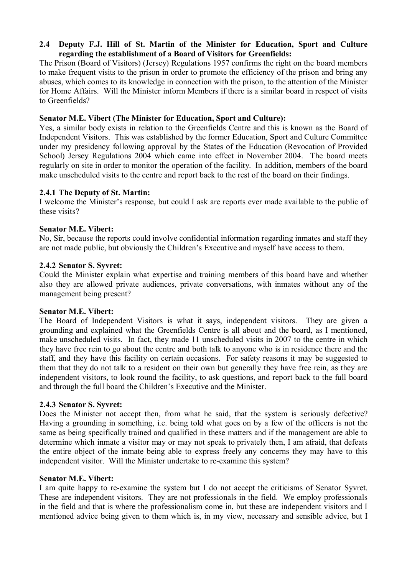# **2.4** � **Deputy F.J. Hill of St. Martin of the Minister for Education, Sport and Culture regarding the establishment of a Board of Visitors for Greenfields:**

The Prison (Board of Visitors) (Jersey) Regulations 1957 confirms the right on the board members to make frequent visits to the prison in order to promote the efficiency of the prison and bring any abuses, which comes to its knowledge in connection with the prison, to the attention of the Minister for Home Affairs. Will the Minister inform Members if there is a similar board in respect of visits to Greenfields?

# **Senator M.E. Vibert (The Minister for Education, Sport and Culture):**

Yes, a similar body exists in relation to the Greenfields Centre and this is known as the Board of Independent Visitors. This was established by the former Education, Sport and Culture Committee under my presidency following approval by the States of the Education (Revocation of Provided School) Jersey Regulations 2004 which came into effect in November 2004. The board meets regularly on site in order to monitor the operation of the facility. In addition, members of the board make unscheduled visits to the centre and report back to the rest of the board on their findings.

# **2.4.1 The Deputy of St. Martin:**

I welcome the Minister's response, but could I ask are reports ever made available to the public of these visits?

# **Senator M.E. Vibert:**

No, Sir, because the reports could involve confidential information regarding inmates and staff they are not made public, but obviously the Children's Executive and myself have access to them.

# **2.4.2 Senator S. Syvret:**

Could the Minister explain what expertise and training members of this board have and whether also they are allowed private audiences, private conversations, with inmates without any of the management being present?

# **Senator M.E. Vibert:**

The Board of Independent Visitors is what it says, independent visitors. They are given a grounding and explained what the Greenfields Centre is all about and the board, as I mentioned, make unscheduled visits. In fact, they made 11 unscheduled visits in 2007 to the centre in which they have free rein to go about the centre and both talk to anyone who is in residence there and the staff, and they have this facility on certain occasions. For safety reasons it may be suggested to them that they do not talk to a resident on their own but generally they have free rein, as they are independent visitors, to look round the facility, to ask questions, and report back to the full board and through the full board the Children's Executive and the Minister.

# **2.4.3 Senator S. Syvret:**

Does the Minister not accept then, from what he said, that the system is seriously defective? Having a grounding in something, i.e. being told what goes on by a few of the officers is not the same as being specifically trained and qualified in these matters and if the management are able to determine which inmate a visitor may or may not speak to privately then, I am afraid, that defeats the entire object of the inmate being able to express freely any concerns they may have to this independent visitor. Will the Minister undertake to re-examine this system?

# **Senator M.E. Vibert:**

I am quite happy to re-examine the system but I do not accept the criticisms of Senator Syvret. These are independent visitors. They are not professionals in the field. We employ professionals in the field and that is where the professionalism come in, but these are independent visitors and I mentioned advice being given to them which is, in my view, necessary and sensible advice, but I